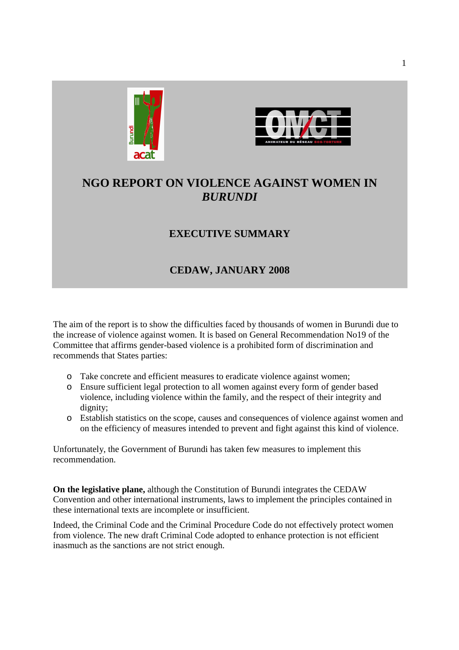



# **NGO REPORT ON VIOLENCE AGAINST WOMEN IN**  *BURUNDI*

## **EXECUTIVE SUMMARY**

## **CEDAW, JANUARY 2008**

The aim of the report is to show the difficulties faced by thousands of women in Burundi due to the increase of violence against women. It is based on General Recommendation No19 of the Committee that affirms gender-based violence is a prohibited form of discrimination and recommends that States parties:

- o Take concrete and efficient measures to eradicate violence against women;
- o Ensure sufficient legal protection to all women against every form of gender based violence, including violence within the family, and the respect of their integrity and dignity;
- o Establish statistics on the scope, causes and consequences of violence against women and on the efficiency of measures intended to prevent and fight against this kind of violence.

Unfortunately, the Government of Burundi has taken few measures to implement this recommendation.

**On the legislative plane,** although the Constitution of Burundi integrates the CEDAW Convention and other international instruments, laws to implement the principles contained in these international texts are incomplete or insufficient.

Indeed, the Criminal Code and the Criminal Procedure Code do not effectively protect women from violence. The new draft Criminal Code adopted to enhance protection is not efficient inasmuch as the sanctions are not strict enough.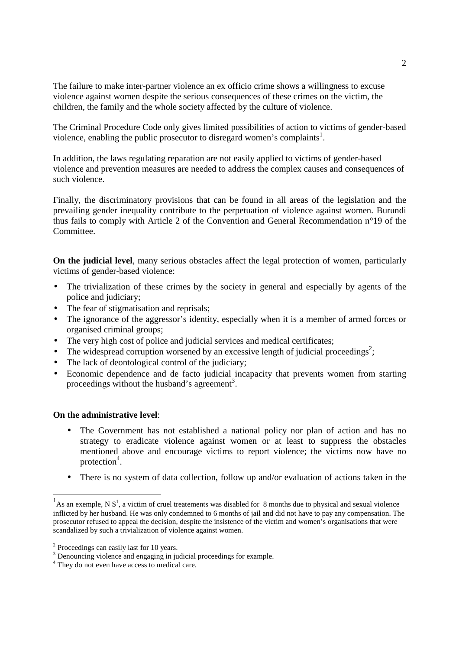The failure to make inter-partner violence an ex officio crime shows a willingness to excuse violence against women despite the serious consequences of these crimes on the victim, the children, the family and the whole society affected by the culture of violence.

The Criminal Procedure Code only gives limited possibilities of action to victims of gender-based violence, enabling the public prosecutor to disregard women's complaints<sup>1</sup>.

In addition, the laws regulating reparation are not easily applied to victims of gender-based violence and prevention measures are needed to address the complex causes and consequences of such violence.

Finally, the discriminatory provisions that can be found in all areas of the legislation and the prevailing gender inequality contribute to the perpetuation of violence against women. Burundi thus fails to comply with Article 2 of the Convention and General Recommendation n°19 of the Committee.

**On the judicial level**, many serious obstacles affect the legal protection of women, particularly victims of gender-based violence:

- The trivialization of these crimes by the society in general and especially by agents of the police and judiciary;
- The fear of stigmatisation and reprisals;
- The ignorance of the aggressor's identity, especially when it is a member of armed forces or organised criminal groups;
- The very high cost of police and judicial services and medical certificates;
- The widespread corruption worsened by an excessive length of judicial proceedings<sup>2</sup>;
- The lack of deontological control of the judiciary;
- Economic dependence and de facto judicial incapacity that prevents women from starting proceedings without the husband's agreement<sup>3</sup>.

#### **On the administrative level**:

-

- The Government has not established a national policy nor plan of action and has no strategy to eradicate violence against women or at least to suppress the obstacles mentioned above and encourage victims to report violence; the victims now have no protection<sup>4</sup>.
- There is no system of data collection, follow up and/or evaluation of actions taken in the

<sup>&</sup>lt;sup>1</sup>As an exemple, N  $S^1$ , a victim of cruel treatements was disabled for 8 months due to physical and sexual violence inflicted by her husband. He was only condemned to 6 months of jail and did not have to pay any compensation. The prosecutor refused to appeal the decision, despite the insistence of the victim and women's organisations that were scandalized by such a trivialization of violence against women.

<sup>&</sup>lt;sup>2</sup> Proceedings can easily last for 10 years.

<sup>&</sup>lt;sup>3</sup> Denouncing violence and engaging in judicial proceedings for example.

<sup>&</sup>lt;sup>4</sup> They do not even have access to medical care.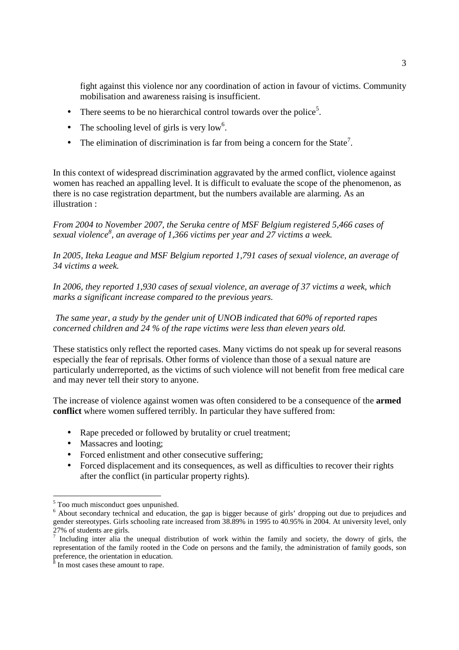fight against this violence nor any coordination of action in favour of victims. Community mobilisation and awareness raising is insufficient.

- There seems to be no hierarchical control towards over the police<sup>5</sup>.
- The schooling level of girls is very low<sup>6</sup>.
- The elimination of discrimination is far from being a concern for the State<sup>7</sup>.

In this context of widespread discrimination aggravated by the armed conflict, violence against women has reached an appalling level. It is difficult to evaluate the scope of the phenomenon, as there is no case registration department, but the numbers available are alarming. As an illustration :

*From 2004 to November 2007, the Seruka centre of MSF Belgium registered 5,466 cases of sexual violence<sup>8</sup> , an average of 1,366 victims per year and 27 victims a week.* 

*In 2005, Iteka League and MSF Belgium reported 1,791 cases of sexual violence, an average of 34 victims a week.* 

*In 2006, they reported 1,930 cases of sexual violence, an average of 37 victims a week, which marks a significant increase compared to the previous years.* 

 *The same year, a study by the gender unit of UNOB indicated that 60% of reported rapes concerned children and 24 % of the rape victims were less than eleven years old.* 

These statistics only reflect the reported cases. Many victims do not speak up for several reasons especially the fear of reprisals. Other forms of violence than those of a sexual nature are particularly underreported, as the victims of such violence will not benefit from free medical care and may never tell their story to anyone.

The increase of violence against women was often considered to be a consequence of the **armed conflict** where women suffered terribly. In particular they have suffered from:

- Rape preceded or followed by brutality or cruel treatment;
- Massacres and looting;
- Forced enlistment and other consecutive suffering;
- Forced displacement and its consequences, as well as difficulties to recover their rights after the conflict (in particular property rights).

 5 Too much misconduct goes unpunished.

<sup>&</sup>lt;sup>6</sup> About secondary technical and education, the gap is bigger because of girls' dropping out due to prejudices and gender stereotypes. Girls schooling rate increased from 38.89% in 1995 to 40.95% in 2004. At university level, only 27% of students are girls.

<sup>&</sup>lt;sup>7</sup> Including inter alia the unequal distribution of work within the family and society, the dowry of girls, the representation of the family rooted in the Code on persons and the family, the administration of family goods, son preference, the orientation in education.

<sup>&</sup>lt;sup>8</sup> In most cases these amount to rape.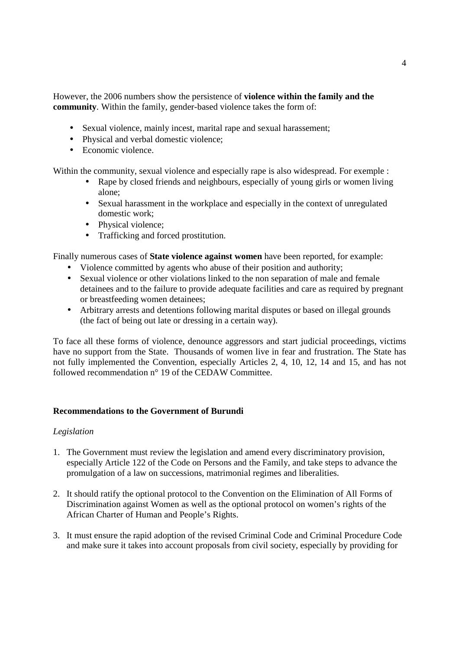However, the 2006 numbers show the persistence of **violence within the family and the community**. Within the family, gender-based violence takes the form of:

- Sexual violence, mainly incest, marital rape and sexual harassement;
- Physical and verbal domestic violence;
- Economic violence.

Within the community, sexual violence and especially rape is also widespread. For exemple :

- Rape by closed friends and neighbours, especially of young girls or women living alone;
- Sexual harassment in the workplace and especially in the context of unregulated domestic work;
- Physical violence;
- Trafficking and forced prostitution.

Finally numerous cases of **State violence against women** have been reported, for example:

- Violence committed by agents who abuse of their position and authority;
- Sexual violence or other violations linked to the non separation of male and female detainees and to the failure to provide adequate facilities and care as required by pregnant or breastfeeding women detainees;
- Arbitrary arrests and detentions following marital disputes or based on illegal grounds (the fact of being out late or dressing in a certain way).

To face all these forms of violence, denounce aggressors and start judicial proceedings, victims have no support from the State. Thousands of women live in fear and frustration. The State has not fully implemented the Convention, especially Articles 2, 4, 10, 12, 14 and 15, and has not followed recommendation n° 19 of the CEDAW Committee.

## **Recommendations to the Government of Burundi**

## *Legislation*

- 1. The Government must review the legislation and amend every discriminatory provision, especially Article 122 of the Code on Persons and the Family, and take steps to advance the promulgation of a law on successions, matrimonial regimes and liberalities.
- 2. It should ratify the optional protocol to the Convention on the Elimination of All Forms of Discrimination against Women as well as the optional protocol on women's rights of the African Charter of Human and People's Rights.
- 3. It must ensure the rapid adoption of the revised Criminal Code and Criminal Procedure Code and make sure it takes into account proposals from civil society, especially by providing for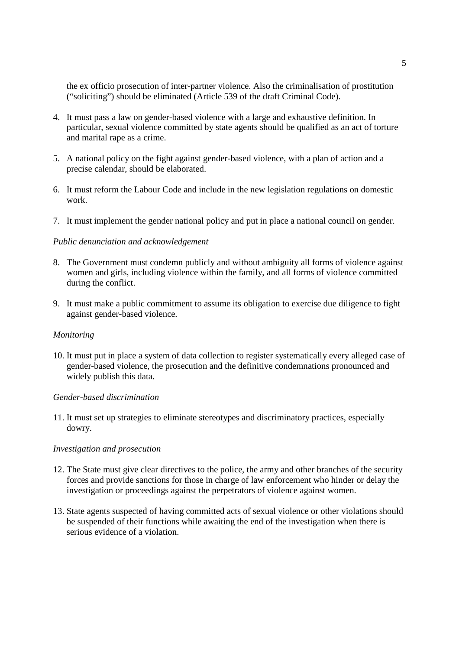the ex officio prosecution of inter-partner violence. Also the criminalisation of prostitution ("soliciting") should be eliminated (Article 539 of the draft Criminal Code).

- 4. It must pass a law on gender-based violence with a large and exhaustive definition. In particular, sexual violence committed by state agents should be qualified as an act of torture and marital rape as a crime.
- 5. A national policy on the fight against gender-based violence, with a plan of action and a precise calendar, should be elaborated.
- 6. It must reform the Labour Code and include in the new legislation regulations on domestic work.
- 7. It must implement the gender national policy and put in place a national council on gender.

#### *Public denunciation and acknowledgement*

- 8. The Government must condemn publicly and without ambiguity all forms of violence against women and girls, including violence within the family, and all forms of violence committed during the conflict.
- 9. It must make a public commitment to assume its obligation to exercise due diligence to fight against gender-based violence.

#### *Monitoring*

10. It must put in place a system of data collection to register systematically every alleged case of gender-based violence, the prosecution and the definitive condemnations pronounced and widely publish this data.

#### *Gender-based discrimination*

11. It must set up strategies to eliminate stereotypes and discriminatory practices, especially dowry.

#### *Investigation and prosecution*

- 12. The State must give clear directives to the police, the army and other branches of the security forces and provide sanctions for those in charge of law enforcement who hinder or delay the investigation or proceedings against the perpetrators of violence against women.
- 13. State agents suspected of having committed acts of sexual violence or other violations should be suspended of their functions while awaiting the end of the investigation when there is serious evidence of a violation.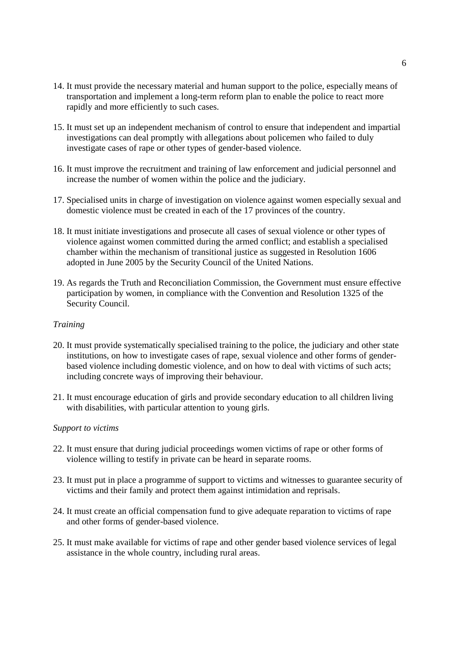- 14. It must provide the necessary material and human support to the police, especially means of transportation and implement a long-term reform plan to enable the police to react more rapidly and more efficiently to such cases.
- 15. It must set up an independent mechanism of control to ensure that independent and impartial investigations can deal promptly with allegations about policemen who failed to duly investigate cases of rape or other types of gender-based violence.
- 16. It must improve the recruitment and training of law enforcement and judicial personnel and increase the number of women within the police and the judiciary.
- 17. Specialised units in charge of investigation on violence against women especially sexual and domestic violence must be created in each of the 17 provinces of the country.
- 18. It must initiate investigations and prosecute all cases of sexual violence or other types of violence against women committed during the armed conflict; and establish a specialised chamber within the mechanism of transitional justice as suggested in Resolution 1606 adopted in June 2005 by the Security Council of the United Nations.
- 19. As regards the Truth and Reconciliation Commission, the Government must ensure effective participation by women, in compliance with the Convention and Resolution 1325 of the Security Council.

### *Training*

- 20. It must provide systematically specialised training to the police, the judiciary and other state institutions, on how to investigate cases of rape, sexual violence and other forms of genderbased violence including domestic violence, and on how to deal with victims of such acts; including concrete ways of improving their behaviour.
- 21. It must encourage education of girls and provide secondary education to all children living with disabilities, with particular attention to young girls.

#### *Support to victims*

- 22. It must ensure that during judicial proceedings women victims of rape or other forms of violence willing to testify in private can be heard in separate rooms.
- 23. It must put in place a programme of support to victims and witnesses to guarantee security of victims and their family and protect them against intimidation and reprisals.
- 24. It must create an official compensation fund to give adequate reparation to victims of rape and other forms of gender-based violence.
- 25. It must make available for victims of rape and other gender based violence services of legal assistance in the whole country, including rural areas.